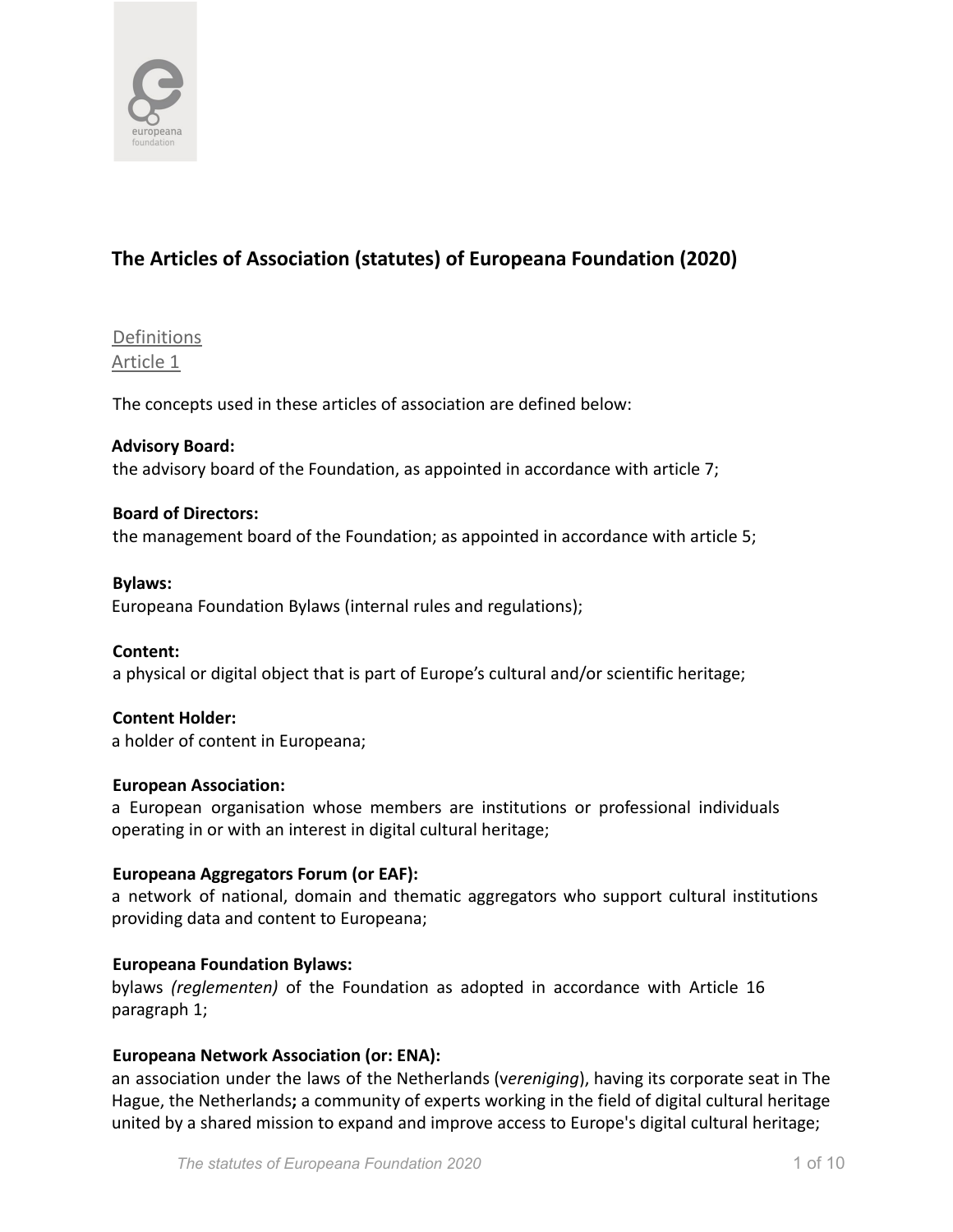

# **The Articles of Association (statutes) of Europeana Foundation (2020)**

**Definitions** Article 1

The concepts used in these articles of association are defined below:

#### **Advisory Board:**

the advisory board of the Foundation, as appointed in accordance with article 7;

#### **Board of Directors:**

the management board of the Foundation; as appointed in accordance with article 5;

#### **Bylaws:**

Europeana Foundation Bylaws (internal rules and regulations);

**Content:** a physical or digital object that is part of Europe's cultural and/or scientific heritage;

# **Content Holder:**

a holder of content in Europeana;

#### **European Association:**

a European organisation whose members are institutions or professional individuals operating in or with an interest in digital cultural heritage;

#### **Europeana Aggregators Forum (or EAF):**

a network of national, domain and thematic aggregators who support cultural institutions providing data and content to Europeana;

#### **Europeana Foundation Bylaws:**

bylaws *(reglementen)* of the Foundation as adopted in accordance with Article 16 paragraph 1;

#### **Europeana Network Association (or: ENA):**

an association under the laws of the Netherlands (v*ereniging*), having its corporate seat in The Hague, the Netherlands**;** a community of experts working in the field of digital cultural heritage united by a shared mission to expand and improve access to Europe's digital cultural heritage;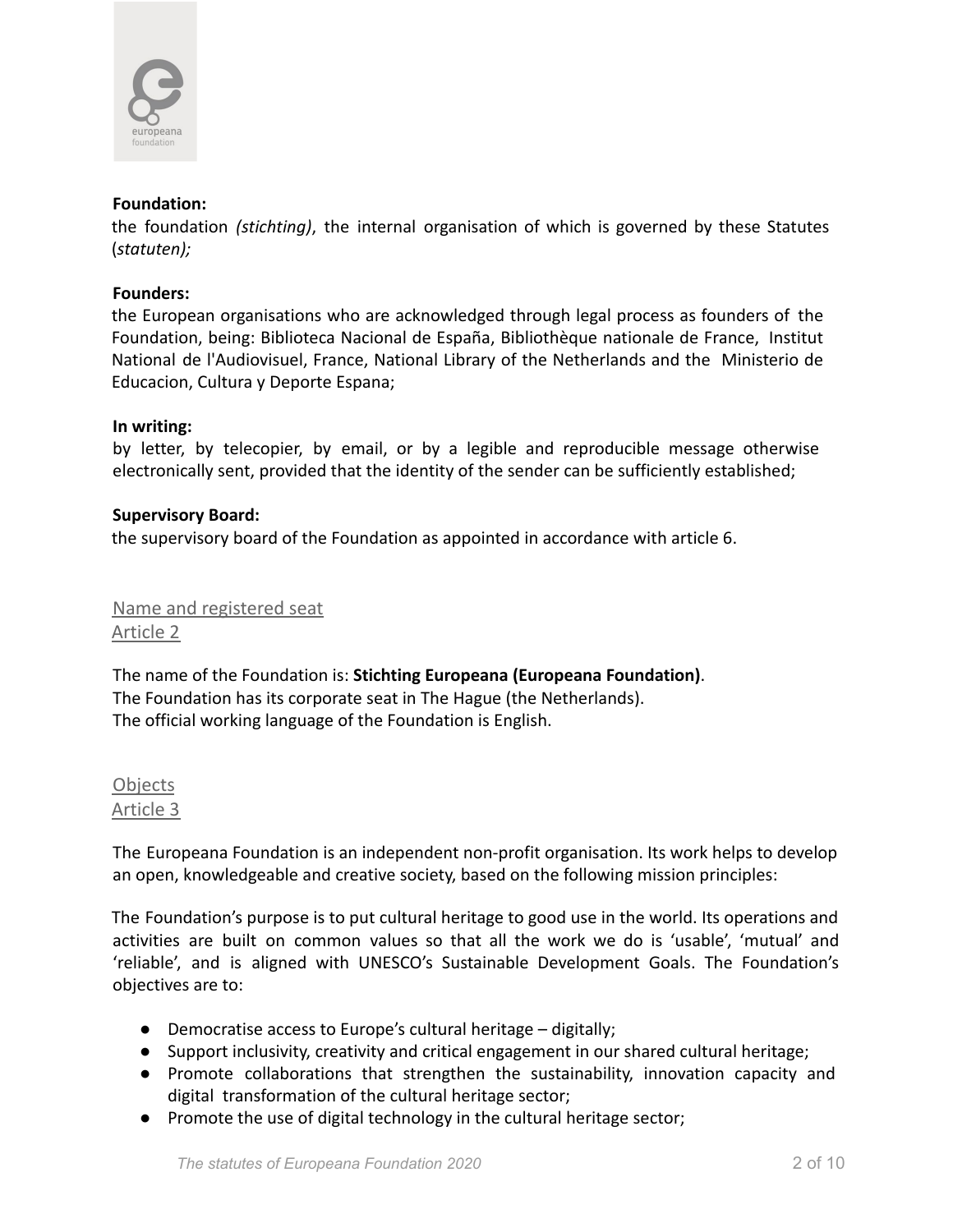

#### **Foundation:**

the foundation *(stichting)*, the internal organisation of which is governed by these Statutes (*statuten);*

#### **Founders:**

the European organisations who are acknowledged through legal process as founders of the Foundation, being: Biblioteca Nacional de España, Bibliothèque nationale de France, Institut National de l'Audiovisuel, France, National Library of the Netherlands and the Ministerio de Educacion, Cultura y Deporte Espana;

#### **In writing:**

by letter, by telecopier, by email, or by a legible and reproducible message otherwise electronically sent, provided that the identity of the sender can be sufficiently established;

#### **Supervisory Board:**

the supervisory board of the Foundation as appointed in accordance with article 6.

Name and registered seat Article 2

The name of the Foundation is: **Stichting Europeana (Europeana Foundation)**. The Foundation has its corporate seat in The Hague (the Netherlands). The official working language of the Foundation is English.

**Objects** Article 3

The Europeana Foundation is an independent non-profit organisation. Its work helps to develop an open, knowledgeable and creative society, based on the following mission principles:

The Foundation's purpose is to put cultural heritage to good use in the world. Its operations and activities are built on common values so that all the work we do is 'usable', 'mutual' and 'reliable', and is aligned with UNESCO's Sustainable Development Goals. The Foundation's objectives are to:

- Democratise access to Europe's cultural heritage digitally;
- Support inclusivity, creativity and critical engagement in our shared cultural heritage;
- Promote collaborations that strengthen the sustainability, innovation capacity and digital transformation of the cultural heritage sector;
- Promote the use of digital technology in the cultural heritage sector;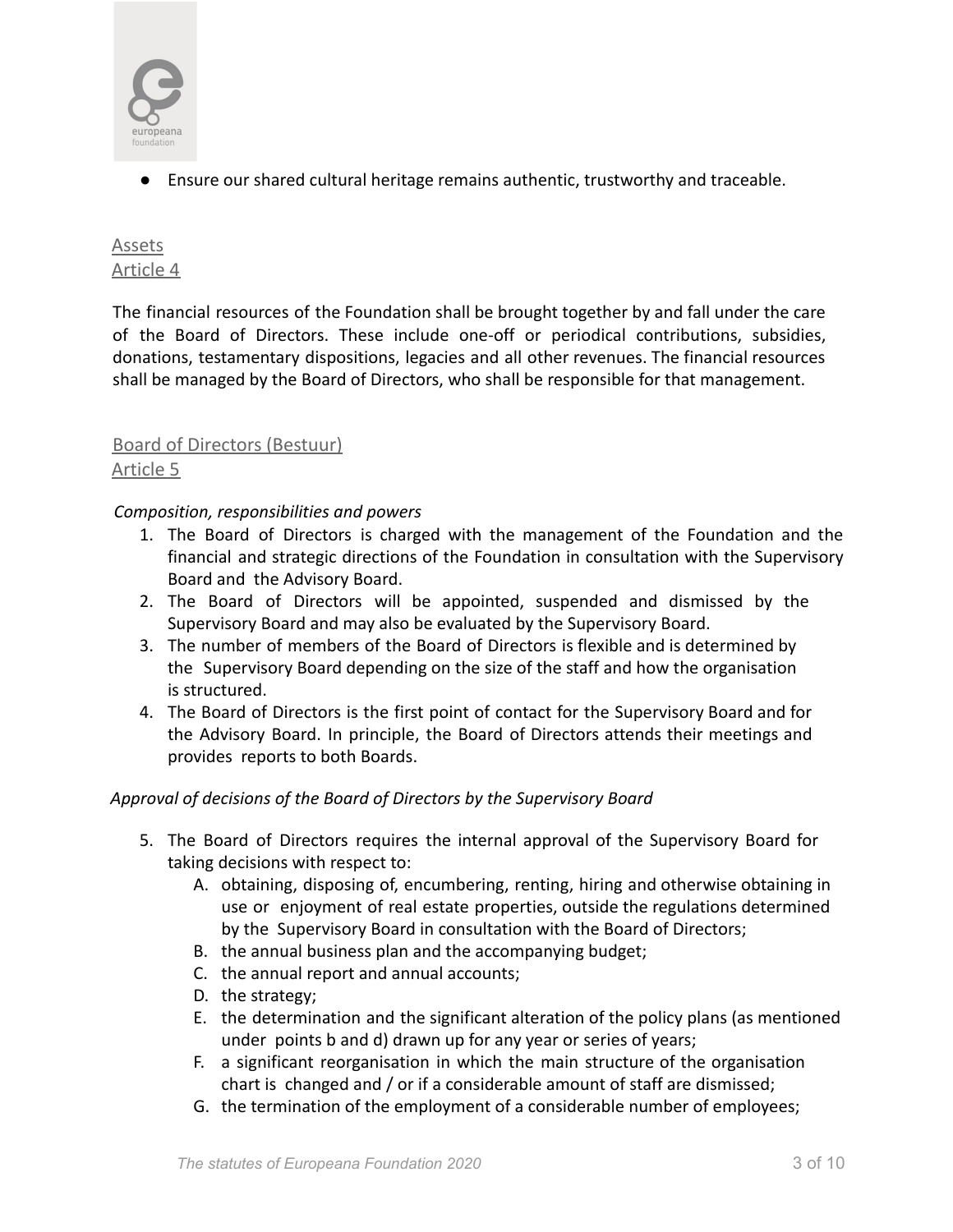

● Ensure our shared cultural heritage remains authentic, trustworthy and traceable.

# Assets Article 4

The financial resources of the Foundation shall be brought together by and fall under the care of the Board of Directors. These include one-off or periodical contributions, subsidies, donations, testamentary dispositions, legacies and all other revenues. The financial resources shall be managed by the Board of Directors, who shall be responsible for that management.

# Board of Directors (Bestuur)

# Article 5

*Composition, responsibilities and powers*

- 1. The Board of Directors is charged with the management of the Foundation and the financial and strategic directions of the Foundation in consultation with the Supervisory Board and the Advisory Board.
- 2. The Board of Directors will be appointed, suspended and dismissed by the Supervisory Board and may also be evaluated by the Supervisory Board.
- 3. The number of members of the Board of Directors is flexible and is determined by the Supervisory Board depending on the size of the staff and how the organisation is structured.
- 4. The Board of Directors is the first point of contact for the Supervisory Board and for the Advisory Board. In principle, the Board of Directors attends their meetings and provides reports to both Boards.

# *Approval of decisions of the Board of Directors by the Supervisory Board*

- 5. The Board of Directors requires the internal approval of the Supervisory Board for taking decisions with respect to:
	- A. obtaining, disposing of, encumbering, renting, hiring and otherwise obtaining in use or enjoyment of real estate properties, outside the regulations determined by the Supervisory Board in consultation with the Board of Directors;
	- B. the annual business plan and the accompanying budget;
	- C. the annual report and annual accounts;
	- D. the strategy;
	- E. the determination and the significant alteration of the policy plans (as mentioned under points b and d) drawn up for any year or series of years;
	- F. a significant reorganisation in which the main structure of the organisation chart is changed and / or if a considerable amount of staff are dismissed;
	- G. the termination of the employment of a considerable number of employees;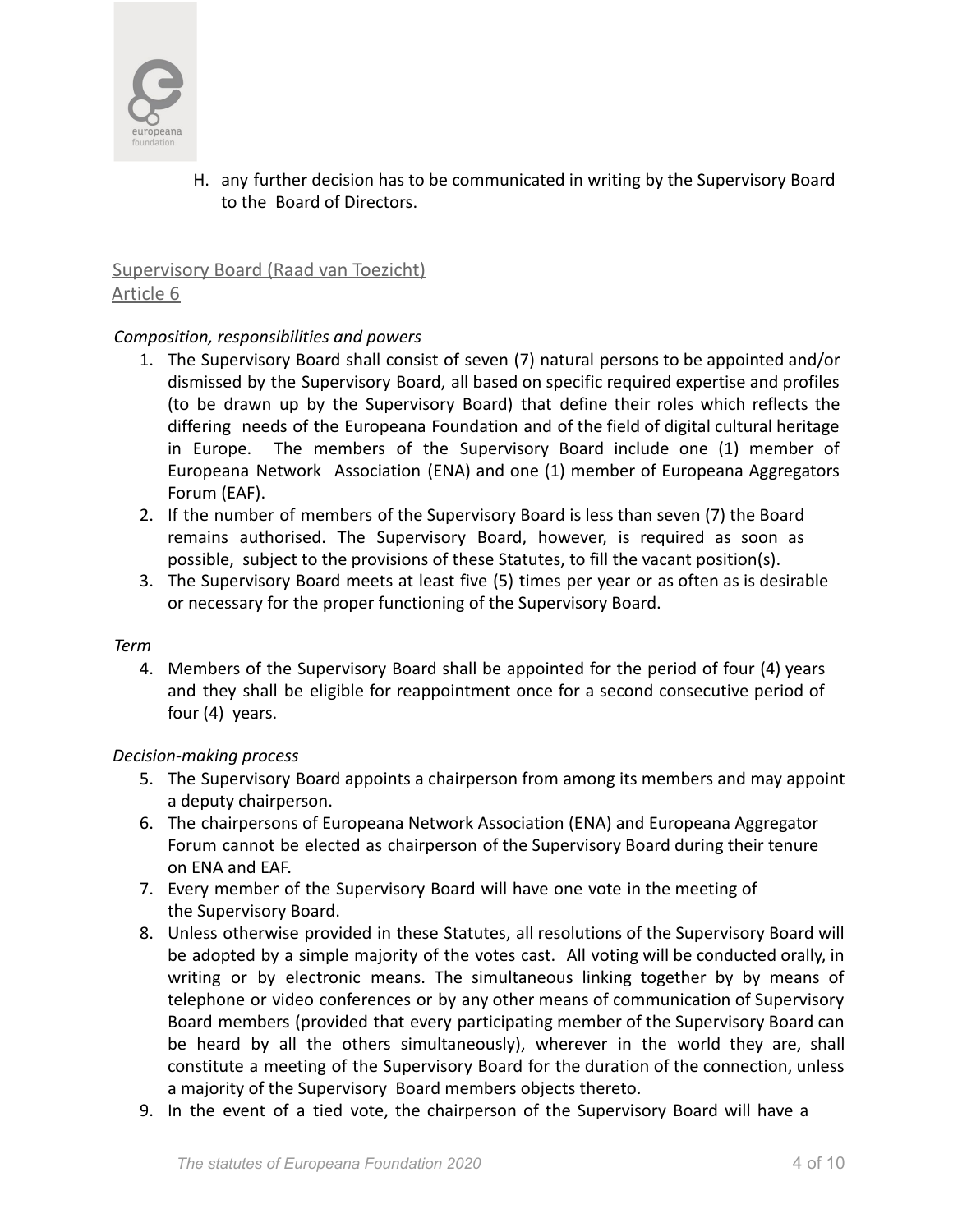

H. any further decision has to be communicated in writing by the Supervisory Board to the Board of Directors.

# Supervisory Board (Raad van Toezicht) Article 6

# *Composition, responsibilities and powers*

- 1. The Supervisory Board shall consist of seven (7) natural persons to be appointed and/or dismissed by the Supervisory Board, all based on specific required expertise and profiles (to be drawn up by the Supervisory Board) that define their roles which reflects the differing needs of the Europeana Foundation and of the field of digital cultural heritage in Europe. The members of the Supervisory Board include one (1) member of Europeana Network Association (ENA) and one (1) member of Europeana Aggregators Forum (EAF).
- 2. If the number of members of the Supervisory Board is less than seven (7) the Board remains authorised. The Supervisory Board, however, is required as soon as possible, subject to the provisions of these Statutes, to fill the vacant position(s).
- 3. The Supervisory Board meets at least five (5) times per year or as often as is desirable or necessary for the proper functioning of the Supervisory Board.

#### *Term*

4. Members of the Supervisory Board shall be appointed for the period of four (4) years and they shall be eligible for reappointment once for a second consecutive period of four (4) years.

# *Decision-making process*

- 5. The Supervisory Board appoints a chairperson from among its members and may appoint a deputy chairperson.
- 6. The chairpersons of Europeana Network Association (ENA) and Europeana Aggregator Forum cannot be elected as chairperson of the Supervisory Board during their tenure on ENA and EAF.
- 7. Every member of the Supervisory Board will have one vote in the meeting of the Supervisory Board.
- 8. Unless otherwise provided in these Statutes, all resolutions of the Supervisory Board will be adopted by a simple majority of the votes cast. All voting will be conducted orally, in writing or by electronic means. The simultaneous linking together by by means of telephone or video conferences or by any other means of communication of Supervisory Board members (provided that every participating member of the Supervisory Board can be heard by all the others simultaneously), wherever in the world they are, shall constitute a meeting of the Supervisory Board for the duration of the connection, unless a majority of the Supervisory Board members objects thereto.
- 9. In the event of a tied vote, the chairperson of the Supervisory Board will have a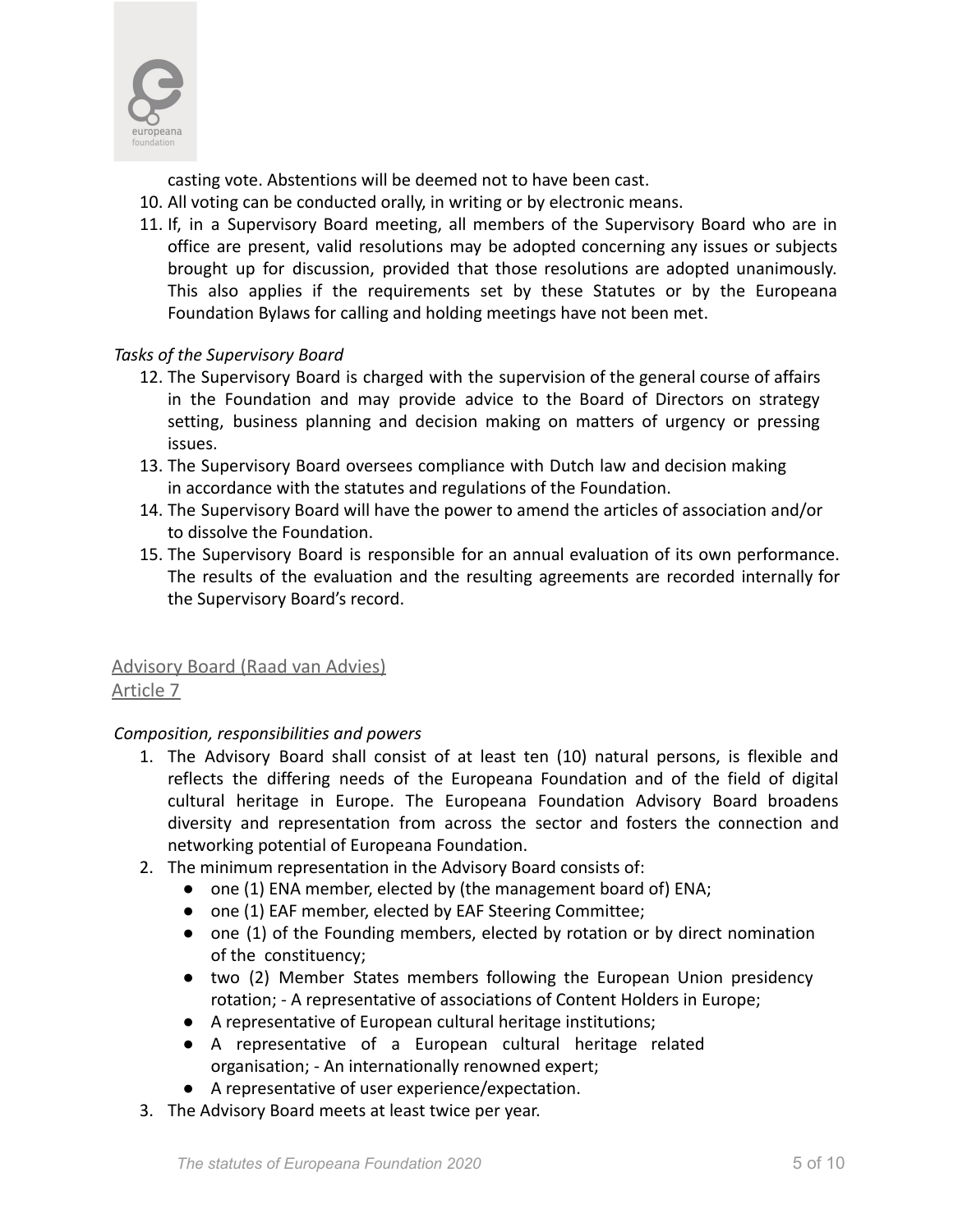

casting vote. Abstentions will be deemed not to have been cast.

- 10. All voting can be conducted orally, in writing or by electronic means.
- 11. If, in a Supervisory Board meeting, all members of the Supervisory Board who are in office are present, valid resolutions may be adopted concerning any issues or subjects brought up for discussion, provided that those resolutions are adopted unanimously. This also applies if the requirements set by these Statutes or by the Europeana Foundation Bylaws for calling and holding meetings have not been met.

# *Tasks of the Supervisory Board*

- 12. The Supervisory Board is charged with the supervision of the general course of affairs in the Foundation and may provide advice to the Board of Directors on strategy setting, business planning and decision making on matters of urgency or pressing issues.
- 13. The Supervisory Board oversees compliance with Dutch law and decision making in accordance with the statutes and regulations of the Foundation.
- 14. The Supervisory Board will have the power to amend the articles of association and/or to dissolve the Foundation.
- 15. The Supervisory Board is responsible for an annual evaluation of its own performance. The results of the evaluation and the resulting agreements are recorded internally for the Supervisory Board's record.

# Advisory Board (Raad van Advies) Article 7

#### *Composition, responsibilities and powers*

- 1. The Advisory Board shall consist of at least ten (10) natural persons, is flexible and reflects the differing needs of the Europeana Foundation and of the field of digital cultural heritage in Europe. The Europeana Foundation Advisory Board broadens diversity and representation from across the sector and fosters the connection and networking potential of Europeana Foundation.
- 2. The minimum representation in the Advisory Board consists of:
	- one (1) ENA member, elected by (the management board of) ENA;
	- one (1) EAF member, elected by EAF Steering Committee;
	- one (1) of the Founding members, elected by rotation or by direct nomination of the constituency;
	- two (2) Member States members following the European Union presidency rotation; - A representative of associations of Content Holders in Europe;
	- A representative of European cultural heritage institutions;
	- A representative of a European cultural heritage related organisation; - An internationally renowned expert;
	- A representative of user experience/expectation.
- 3. The Advisory Board meets at least twice per year.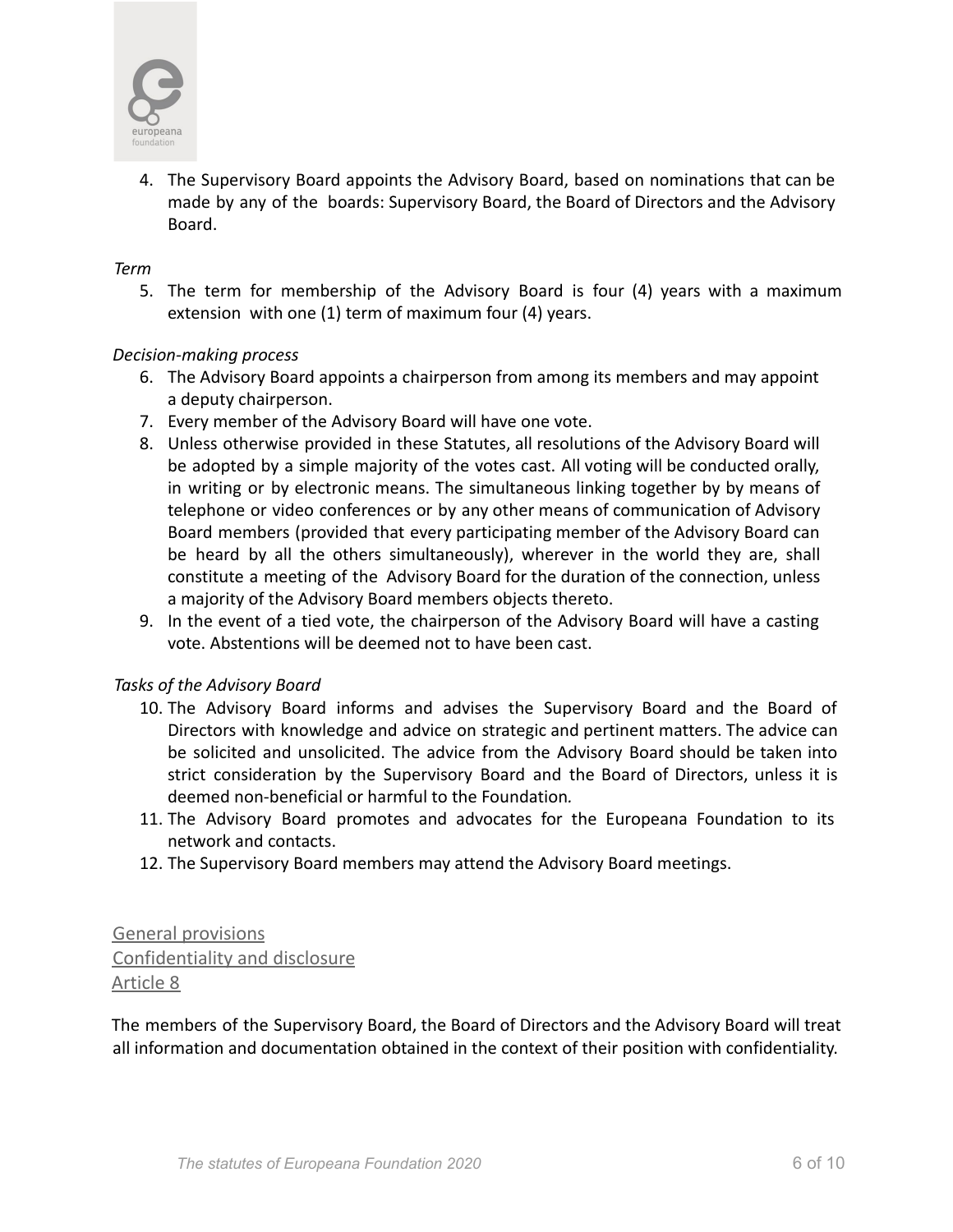

4. The Supervisory Board appoints the Advisory Board, based on nominations that can be made by any of the boards: Supervisory Board, the Board of Directors and the Advisory Board.

#### *Term*

5. The term for membership of the Advisory Board is four (4) years with a maximum extension with one (1) term of maximum four (4) years.

#### *Decision-making process*

- 6. The Advisory Board appoints a chairperson from among its members and may appoint a deputy chairperson.
- 7. Every member of the Advisory Board will have one vote.
- 8. Unless otherwise provided in these Statutes, all resolutions of the Advisory Board will be adopted by a simple majority of the votes cast. All voting will be conducted orally, in writing or by electronic means. The simultaneous linking together by by means of telephone or video conferences or by any other means of communication of Advisory Board members (provided that every participating member of the Advisory Board can be heard by all the others simultaneously), wherever in the world they are, shall constitute a meeting of the Advisory Board for the duration of the connection, unless a majority of the Advisory Board members objects thereto.
- 9. In the event of a tied vote, the chairperson of the Advisory Board will have a casting vote. Abstentions will be deemed not to have been cast.

#### *Tasks of the Advisory Board*

- 10. The Advisory Board informs and advises the Supervisory Board and the Board of Directors with knowledge and advice on strategic and pertinent matters. The advice can be solicited and unsolicited. The advice from the Advisory Board should be taken into strict consideration by the Supervisory Board and the Board of Directors, unless it is deemed non-beneficial or harmful to the Foundation*.*
- 11. The Advisory Board promotes and advocates for the Europeana Foundation to its network and contacts.
- 12. The Supervisory Board members may attend the Advisory Board meetings.

# General provisions Confidentiality and disclosure Article 8

The members of the Supervisory Board, the Board of Directors and the Advisory Board will treat all information and documentation obtained in the context of their position with confidentiality.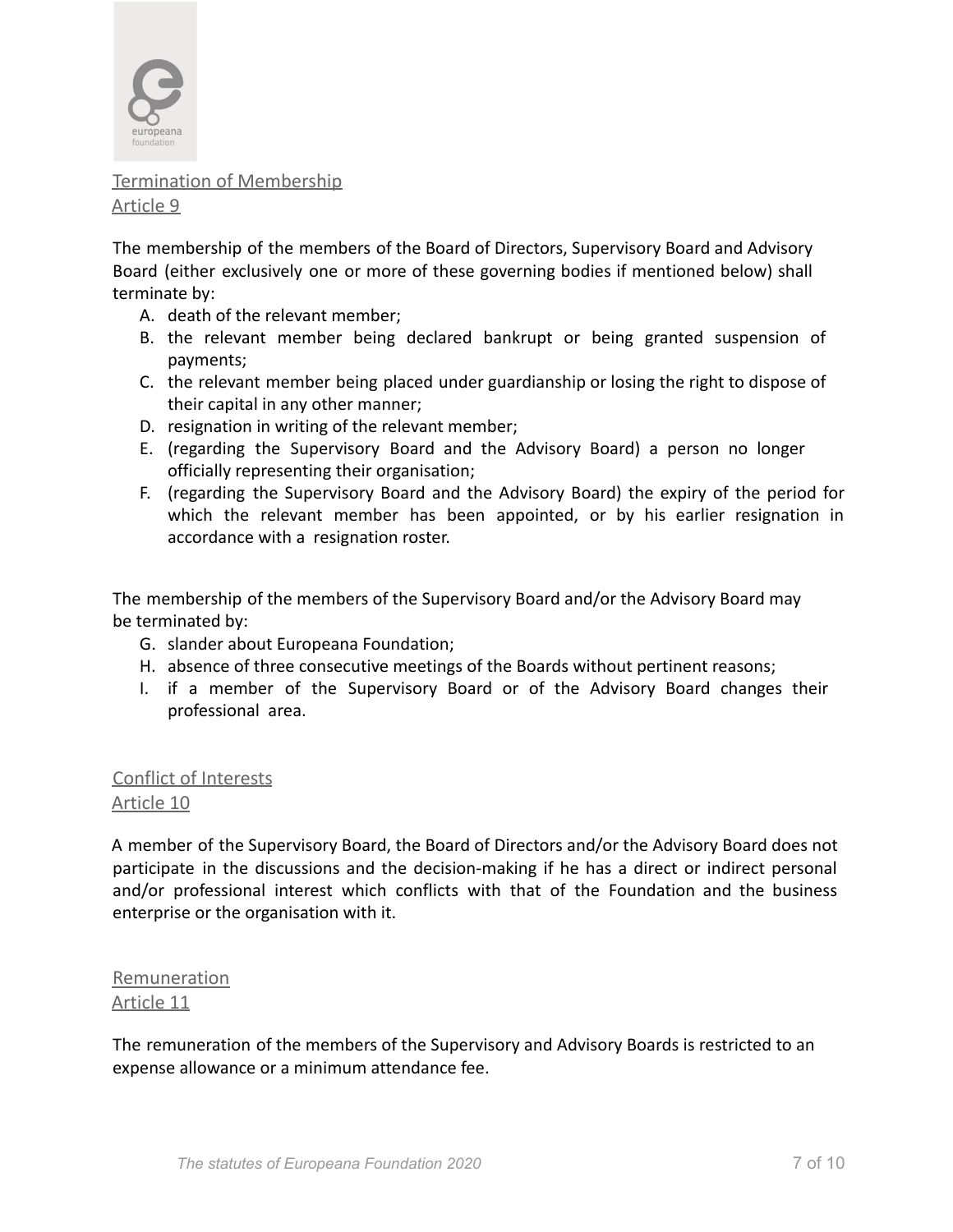

Termination of Membership Article 9

The membership of the members of the Board of Directors, Supervisory Board and Advisory Board (either exclusively one or more of these governing bodies if mentioned below) shall terminate by:

- A. death of the relevant member;
- B. the relevant member being declared bankrupt or being granted suspension of payments;
- C. the relevant member being placed under guardianship or losing the right to dispose of their capital in any other manner;
- D. resignation in writing of the relevant member;
- E. (regarding the Supervisory Board and the Advisory Board) a person no longer officially representing their organisation;
- F. (regarding the Supervisory Board and the Advisory Board) the expiry of the period for which the relevant member has been appointed, or by his earlier resignation in accordance with a resignation roster.

The membership of the members of the Supervisory Board and/or the Advisory Board may be terminated by:

- G. slander about Europeana Foundation;
- H. absence of three consecutive meetings of the Boards without pertinent reasons;
- I. if a member of the Supervisory Board or of the Advisory Board changes their professional area.

Conflict of Interests Article 10

A member of the Supervisory Board, the Board of Directors and/or the Advisory Board does not participate in the discussions and the decision-making if he has a direct or indirect personal and/or professional interest which conflicts with that of the Foundation and the business enterprise or the organisation with it.

Remuneration Article 11

The remuneration of the members of the Supervisory and Advisory Boards is restricted to an expense allowance or a minimum attendance fee.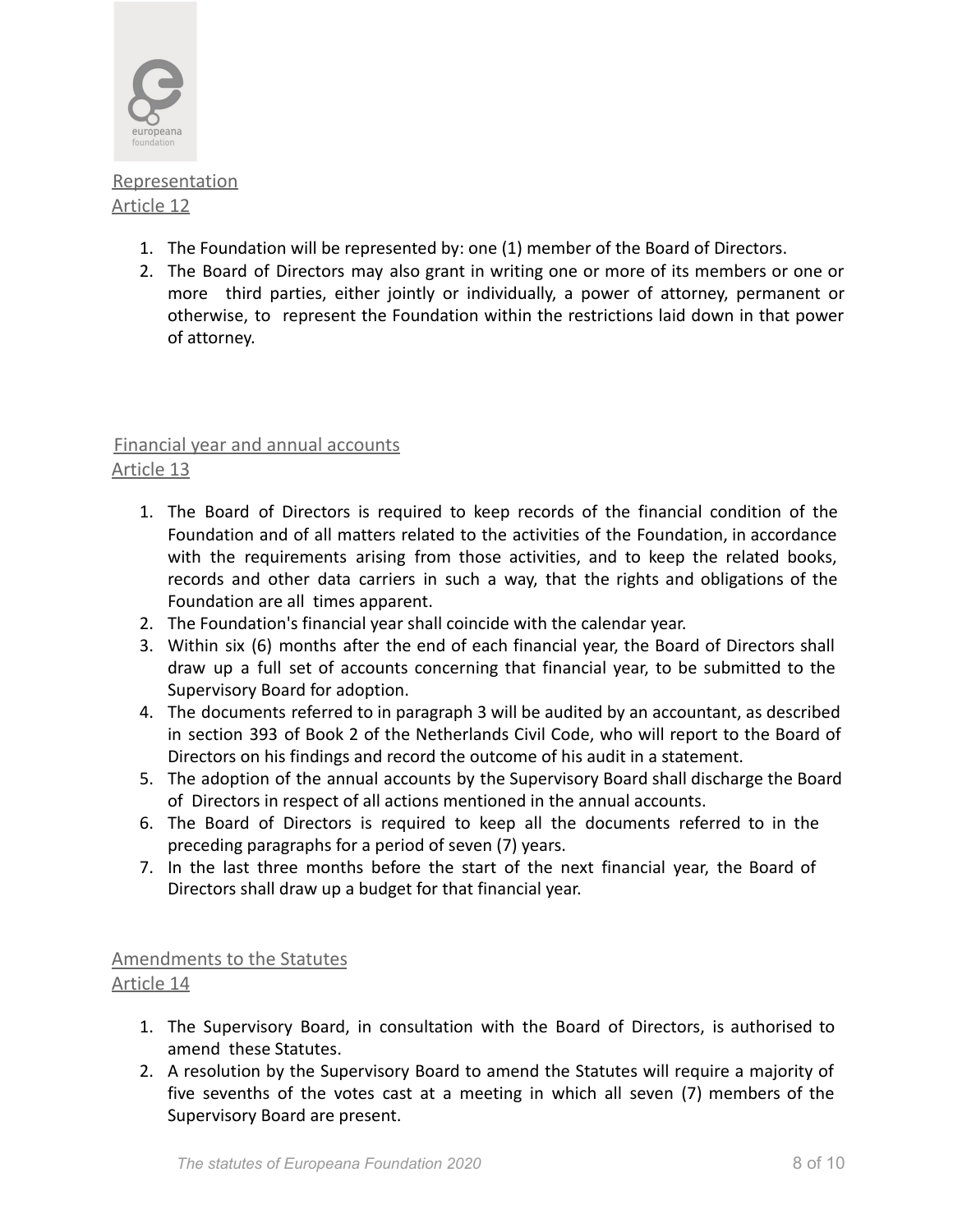

**Representation** Article 12

- 1. The Foundation will be represented by: one (1) member of the Board of Directors.
- 2. The Board of Directors may also grant in writing one or more of its members or one or more third parties, either jointly or individually, a power of attorney, permanent or otherwise, to represent the Foundation within the restrictions laid down in that power of attorney.

# Financial year and annual accounts

# Article 13

- 1. The Board of Directors is required to keep records of the financial condition of the Foundation and of all matters related to the activities of the Foundation, in accordance with the requirements arising from those activities, and to keep the related books, records and other data carriers in such a way, that the rights and obligations of the Foundation are all times apparent.
- 2. The Foundation's financial year shall coincide with the calendar year.
- 3. Within six (6) months after the end of each financial year, the Board of Directors shall draw up a full set of accounts concerning that financial year, to be submitted to the Supervisory Board for adoption.
- 4. The documents referred to in paragraph 3 will be audited by an accountant, as described in section 393 of Book 2 of the Netherlands Civil Code, who will report to the Board of Directors on his findings and record the outcome of his audit in a statement.
- 5. The adoption of the annual accounts by the Supervisory Board shall discharge the Board of Directors in respect of all actions mentioned in the annual accounts.
- 6. The Board of Directors is required to keep all the documents referred to in the preceding paragraphs for a period of seven (7) years.
- 7. In the last three months before the start of the next financial year, the Board of Directors shall draw up a budget for that financial year.

# Amendments to the Statutes

# Article 14

- 1. The Supervisory Board, in consultation with the Board of Directors, is authorised to amend these Statutes.
- 2. A resolution by the Supervisory Board to amend the Statutes will require a majority of five sevenths of the votes cast at a meeting in which all seven (7) members of the Supervisory Board are present.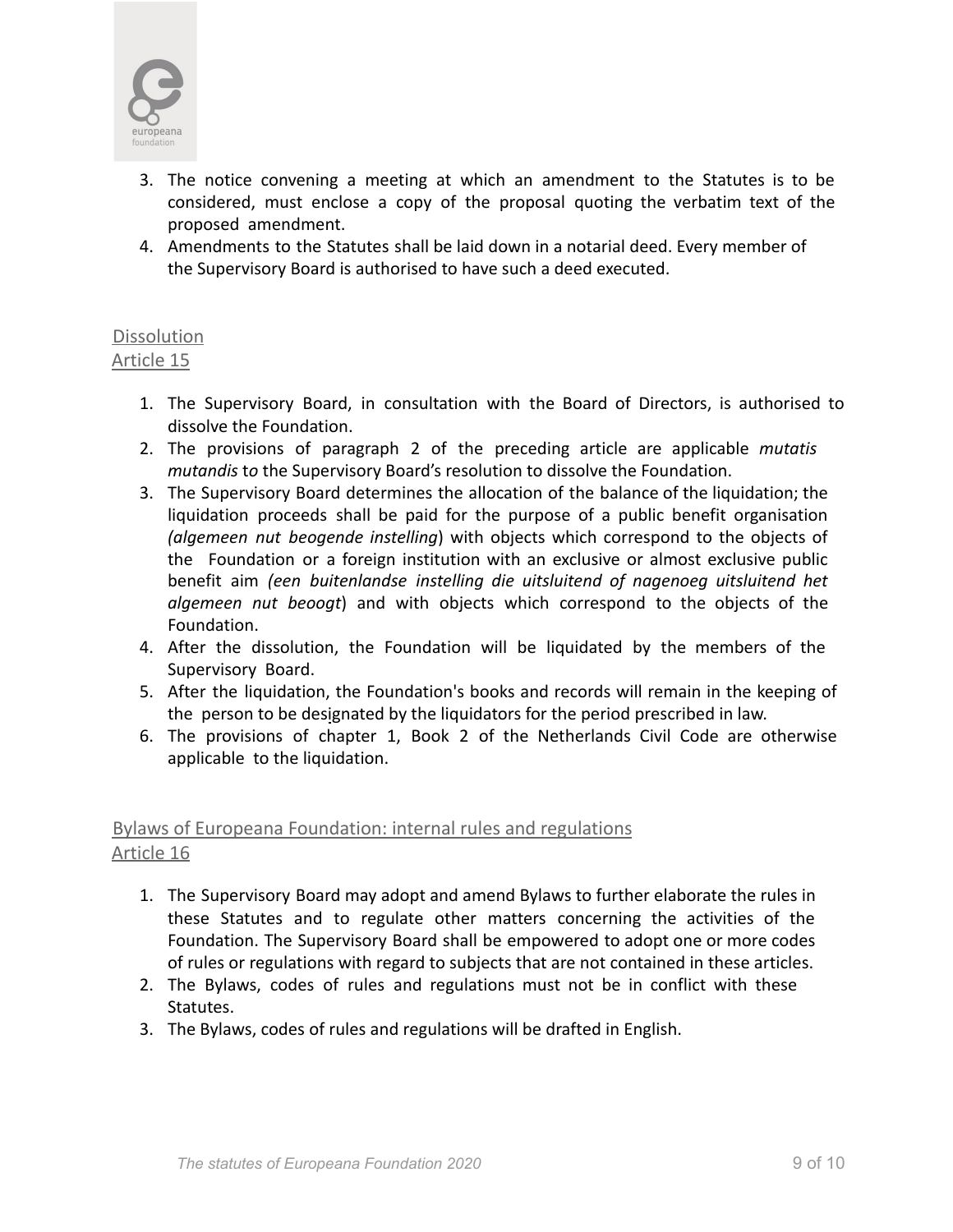

- 3. The notice convening a meeting at which an amendment to the Statutes is to be considered, must enclose a copy of the proposal quoting the verbatim text of the proposed amendment.
- 4. Amendments to the Statutes shall be laid down in a notarial deed. Every member of the Supervisory Board is authorised to have such a deed executed.

#### **Dissolution** Article 15

- 1. The Supervisory Board, in consultation with the Board of Directors, is authorised to dissolve the Foundation.
- 2. The provisions of paragraph 2 of the preceding article are applicable *mutatis mutandis* t*o* the Supervisory Board's resolution to dissolve the Foundation.
- 3. The Supervisory Board determines the allocation of the balance of the liquidation; the liquidation proceeds shall be paid for the purpose of a public benefit organisation *(algemeen nut beogende instelling*) with objects which correspond to the objects of the Foundation or a foreign institution with an exclusive or almost exclusive public benefit aim *(een buitenlandse instelling die uitsluitend of nagenoeg uitsluitend het algemeen nut beoogt*) and with objects which correspond to the objects of the Foundation.
- 4. After the dissolution, the Foundation will be liquidated by the members of the Supervisory Board.
- 5. After the liquidation, the Foundation's books and records will remain in the keeping of the person to be designated by the liquidators for the period prescribed in law.
- 6. The provisions of chapter 1, Book 2 of the Netherlands Civil Code are otherwise applicable to the liquidation.

# Bylaws of Europeana Foundation: internal rules and regulations Article 16

- 1. The Supervisory Board may adopt and amend Bylaws to further elaborate the rules in these Statutes and to regulate other matters concerning the activities of the Foundation. The Supervisory Board shall be empowered to adopt one or more codes of rules or regulations with regard to subjects that are not contained in these articles.
- 2. The Bylaws, codes of rules and regulations must not be in conflict with these Statutes.
- 3. The Bylaws, codes of rules and regulations will be drafted in English.